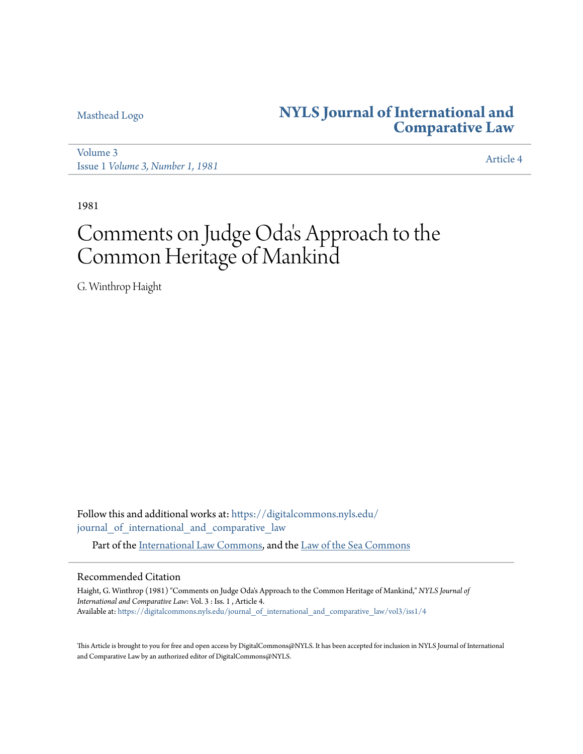## [Masthead Logo](http://www.nyls.edu/?utm_source=digitalcommons.nyls.edu%2Fjournal_of_international_and_comparative_law%2Fvol3%2Fiss1%2F4&utm_medium=PDF&utm_campaign=PDFCoverPages) **[NYLS Journal of International and](https://digitalcommons.nyls.edu/journal_of_international_and_comparative_law?utm_source=digitalcommons.nyls.edu%2Fjournal_of_international_and_comparative_law%2Fvol3%2Fiss1%2F4&utm_medium=PDF&utm_campaign=PDFCoverPages) [Comparative Law](https://digitalcommons.nyls.edu/journal_of_international_and_comparative_law?utm_source=digitalcommons.nyls.edu%2Fjournal_of_international_and_comparative_law%2Fvol3%2Fiss1%2F4&utm_medium=PDF&utm_campaign=PDFCoverPages)**

[Volume 3](https://digitalcommons.nyls.edu/journal_of_international_and_comparative_law/vol3?utm_source=digitalcommons.nyls.edu%2Fjournal_of_international_and_comparative_law%2Fvol3%2Fiss1%2F4&utm_medium=PDF&utm_campaign=PDFCoverPages) Issue 1 *[Volume 3, Number 1, 1981](https://digitalcommons.nyls.edu/journal_of_international_and_comparative_law/vol3/iss1?utm_source=digitalcommons.nyls.edu%2Fjournal_of_international_and_comparative_law%2Fvol3%2Fiss1%2F4&utm_medium=PDF&utm_campaign=PDFCoverPages)* [Article 4](https://digitalcommons.nyls.edu/journal_of_international_and_comparative_law/vol3/iss1/4?utm_source=digitalcommons.nyls.edu%2Fjournal_of_international_and_comparative_law%2Fvol3%2Fiss1%2F4&utm_medium=PDF&utm_campaign=PDFCoverPages)

1981

# Comments on Judge Oda 's Approach to the Common Heritage of Mankind

G. Winthrop Haight

Follow this and additional works at: [https://digitalcommons.nyls.edu/](https://digitalcommons.nyls.edu/journal_of_international_and_comparative_law?utm_source=digitalcommons.nyls.edu%2Fjournal_of_international_and_comparative_law%2Fvol3%2Fiss1%2F4&utm_medium=PDF&utm_campaign=PDFCoverPages) [journal\\_of\\_international\\_and\\_comparative\\_law](https://digitalcommons.nyls.edu/journal_of_international_and_comparative_law?utm_source=digitalcommons.nyls.edu%2Fjournal_of_international_and_comparative_law%2Fvol3%2Fiss1%2F4&utm_medium=PDF&utm_campaign=PDFCoverPages)

Part of the [International Law Commons,](http://network.bepress.com/hgg/discipline/609?utm_source=digitalcommons.nyls.edu%2Fjournal_of_international_and_comparative_law%2Fvol3%2Fiss1%2F4&utm_medium=PDF&utm_campaign=PDFCoverPages) and the [Law of the Sea Commons](http://network.bepress.com/hgg/discipline/855?utm_source=digitalcommons.nyls.edu%2Fjournal_of_international_and_comparative_law%2Fvol3%2Fiss1%2F4&utm_medium=PDF&utm_campaign=PDFCoverPages)

### Recommended Citation

Haight, G. Winthrop (1981) "Comments on Judge Oda's Approach to the Common Heritage of Mankind," *NYLS Journal of International and Comparative Law*: Vol. 3 : Iss. 1 , Article 4. Available at: [https://digitalcommons.nyls.edu/journal\\_of\\_international\\_and\\_comparative\\_law/vol3/iss1/4](https://digitalcommons.nyls.edu/journal_of_international_and_comparative_law/vol3/iss1/4?utm_source=digitalcommons.nyls.edu%2Fjournal_of_international_and_comparative_law%2Fvol3%2Fiss1%2F4&utm_medium=PDF&utm_campaign=PDFCoverPages)

This Article is brought to you for free and open access by DigitalCommons@NYLS. It has been accepted for inclusion in NYLS Journal of International and Comparative Law by an authorized editor of DigitalCommons@NYLS.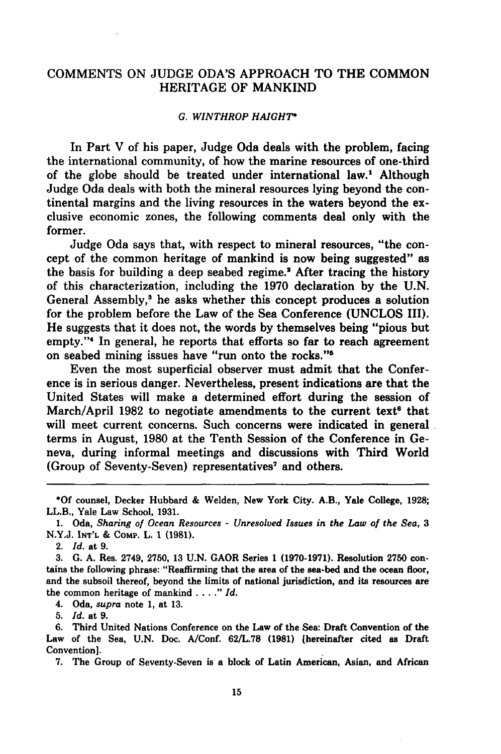#### COMMENTS ON JUDGE ODA'S APPROACH TO THE COMMON HERITAGE OF MANKIND

#### *G. WINTHROP HAIGHT\**

In Part V of his paper, Judge Oda deals with the problem, facing the international community, of how the marine resources of one-third of the globe should be treated under international law.' Although Judge Oda deals with both the mineral resources lying beyond the continental margins and the living resources in the waters beyond the exclusive economic zones, the following comments deal only with the former.

Judge Oda says that, with respect to mineral resources, "the concept of the common heritage of mankind is now being suggested" as the basis for building a deep seabed regime.' After tracing the history of this characterization, including the 1970 declaration by the U.N. General Assembly,' he asks whether this concept produces a solution for the problem before the Law of the Sea Conference (UNCLOS III). He suggests that it does not, the words by themselves being "pious but empty."'4 In general, he reports that efforts so far to reach agreement on seabed mining issues have "run onto the rocks."5

Even the most superficial observer must admit that the Conference is in serious danger. Nevertheless, present indications are that the United States will make a determined effort during the session of March/April 1982 to negotiate amendments to the current text<sup>6</sup> that will meet current concerns. Such concerns were indicated in general. terms in August, 1980 at the Tenth Session of the Conference in Geneva, during informal meetings and discussions with Third World (Group of Seventy-Seven) representatives' and others.

**\*Of** counsel, Decker Hubbard & Welden, New York City. A.B., Yale College, 1928; LL.B., Yale Law School, 1931.

**1.** Oda, *Sharing of Ocean Resources* **-** *Unresolved* **Issues in** *the Law* **of** *the Sea, 3* **N.Y.J. INT'L &** Comp. L. **1 (1981).**

2. Id. at **9.**

**3. G. A.** Res. 2749, **2750, 13 U.N.** GAOR Series **1 (1970-1971).** Resolution **2750** contains the following phrase: "Reaffirming that the area of the sea-bed and the ocean floor, and the subsoil thereof, beyond the limits of national jurisdiction, and its resources are the common heritage of mankind **....** *Id.*

4. Oda, *supra* note **1,** at **13.**

**5.** *Id.* at **9.**

**6.** Third United Nations Conference on the Law of the Sea: Draft Convention of the Law of the Sea, **U.N.** Doc. A/Conf. **62/L.78 (1981)** (hereinafter cited as Draft Convention].

**7.** The Group of Seventy-Seven is a block of Latin American, Asian, and African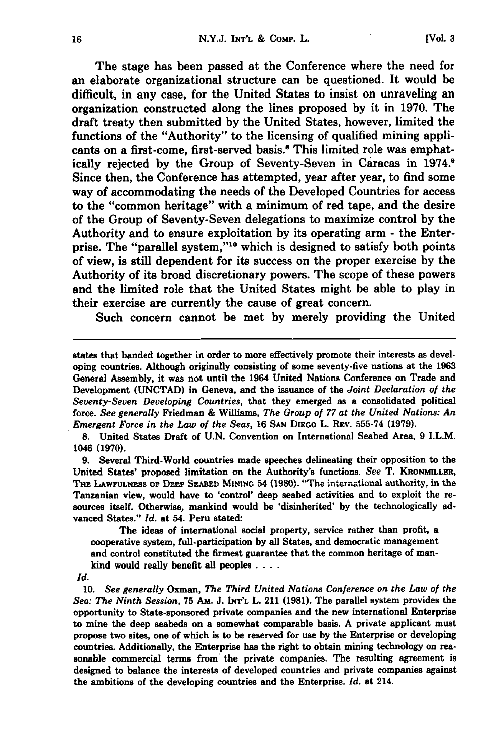The stage has been passed at the Conference where the need for an elaborate organizational structure can be questioned. It would be difficult, in any case, for the United States to insist on unraveling an organization constructed along the lines proposed by it in 1970. The draft treaty then submitted by the United States, however, limited the functions of the "Authority" to the licensing of qualified mining applicants on a first-come, first-served basis.<sup>8</sup> This limited role was emphatically rejected by the Group of Seventy-Seven in Caracas in **1974.<sup>9</sup>** Since then, the Conference has attempted, year after year, to find some way of accommodating the needs of the Developed Countries for access to the "common heritage" with a minimum of red tape, and the desire of the Group of Seventy-Seven delegations to maximize control by the Authority and to ensure exploitation by its operating arm - the Enterprise. The "parallel system,"<sup>10</sup> which is designed to satisfy both points of view, is still dependent for its success on the proper exercise by the Authority of its broad discretionary powers. The scope of these powers and the limited role that the United States might be able to play in their exercise are currently the cause of great concern.

Such concern cannot be met by merely providing the United

**8.** United States Draft of **U.N.** Convention on International Seabed Area, **9** I.L.M. 1046 **(1970).**

**9.** Several Third-World countries made speeches delineating their opposition to the United States' proposed limitation on the Authority's functions. *See* T. KRONMILLER, THz **LAW FULNESS Or DxEP SPABED MINING 54 (1980).** "The international authority, in **the** Tanzanian view, would have to 'control' deep seabed activities and to exploit the resources itself. Otherwise, mankind would be 'disinherited' by the technologically advanced States." *Id.* at 54. Peru stated:

The ideas of international social property, service rather than profit, a cooperative system, full-participation by all States, and democratic management and control constituted the firmest guarantee that the common heritage of mankind would really benefit all peoples **....**

**10.** *See generally* Oxman, *The Third United Nations Conference on the Law of the Sea: The Ninth Session,* **75** AM. J. **INT'L** L. 211 **(1981).** The parallel system provides the opportunity to State-sponsored private companies and the new international Enterprise to mine the deep seabeds on a somewhat comparable basis. A private applicant must propose two sites, one of which is to be reserved for use by the Enterprise or developing countries. Additionally, the Enterprise has the right to obtain mining technology on reasonable commercial terms from the private companies. The resulting agreement is designed to balance the interests of developed countries and private companies against the ambitions of the developing countries and the Enterprise. *Id.* at 214.

states that banded together in order to more effectively promote their interests as developing countries. Although originally consisting of some seventy-five nations at the **1963** General Assembly, it was not until the 1964 United Nations Conference on Trade and Development **(UNCTAD)** in Geneva, and the issuance of the *Joint Declaration of the Seventy-Seven Developing Countries,* that they emerged as a consolidated political force. *See generally* Friedman **&** Williams, *The Group of 77 at the United Nations: An Emergent Force in the Law of the Seas,* 16 **SAN DIEGo** L. **REv. 555-74 (1979).**

*Id.*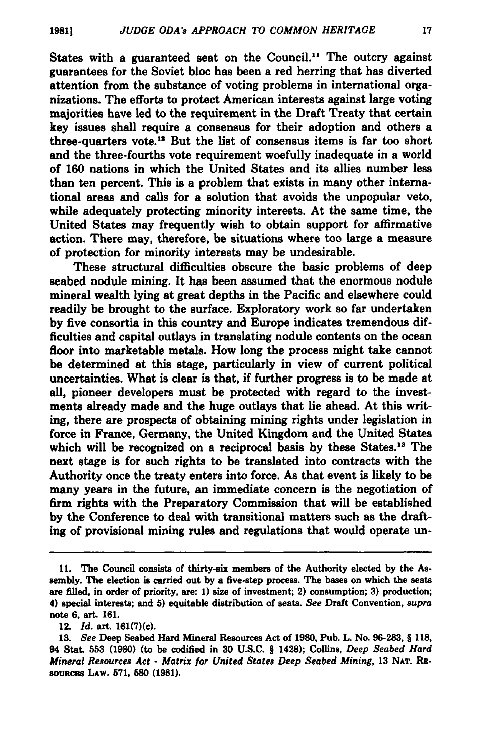States with a guaranteed seat on the Council.<sup>11</sup> The outcry against guarantees for the Soviet bloc has been a red herring that has diverted attention from the substance of voting problems in international organizations. The efforts to protect American interests against large voting majorities have led to the requirement in the Draft Treaty that certain key issues shall require a consensus for their adoption and others a three-quarters vote." But the list of consensus items is far too short and the three-fourths vote requirement woefully inadequate in a world of **160** nations in which the United States and its allies number less than ten percent. This is a problem that exists in many other international areas and calls for a solution that avoids the unpopular veto, while adequately protecting minority interests. At the same time, the United States may frequently wish to obtain support for affirmative action. There may, therefore, be situations where too large a measure of protection for minority interests may be undesirable.

These structural difficulties obscure the basic problems of deep seabed nodule mining. It has been assumed that the enormous nodule mineral wealth lying at great depths in the Pacific and elsewhere could readily be brought to the surface. Exploratory work so far undertaken **by** five consortia in this country and Europe indicates tremendous difficulties and capital outlays in translating nodule contents on the ocean floor into marketable metals. How long the process might take cannot be determined at this stage, particularly in view of current political uncertainties. What is clear is that, if further progress is to be made at all, pioneer developers must be protected with regard to the investments already made and the huge outlays that lie ahead. At this writing, there are prospects of obtaining mining rights under legislation in force in France, Germany, the United Kingdom and the United States which will be recognized on a reciprocal basis by these States.<sup>13</sup> The next stage is for such rights to be translated into contracts with the Authority once the treaty enters into force. As that event is likely to be many years in the future, an immediate concern is the negotiation of firm rights with the Preparatory Commission that will be established **by** the Conference to deal with transitional matters such as the draft**ing** of provisional mining rules and regulations that would operate un-

**<sup>11.</sup>** The Council consists of thirty-six members of the Authority elected **by** the **As**sembly. The election is carried out **by** a five-step process. The bases on which the seats are filled, in order of priority, are: **1)** size of investment; 2) consumption; **3)** production; 4) special interests; and **5)** equitable distribution of seats. *See* Draft Convention, *supra* note **6,** art. **161.**

<sup>12.</sup> *Id. art.* 161(7)(c).

**<sup>13.</sup>** *See* Deep Seabed Hard Mineral Resources Act of **1980,** Pub. L. No. **96-283,** § **118,** 94 Stat. **553 (1980)** (to be codified in **30 U.S.C.** § 1428); Collins, *Deep Seabed Hard Mineral Resources Act* **-** *Matrix for United States Deep Seabed Mining,* **13 NAT.** RE-**SOURcES LAw. 571, 580 (1981).**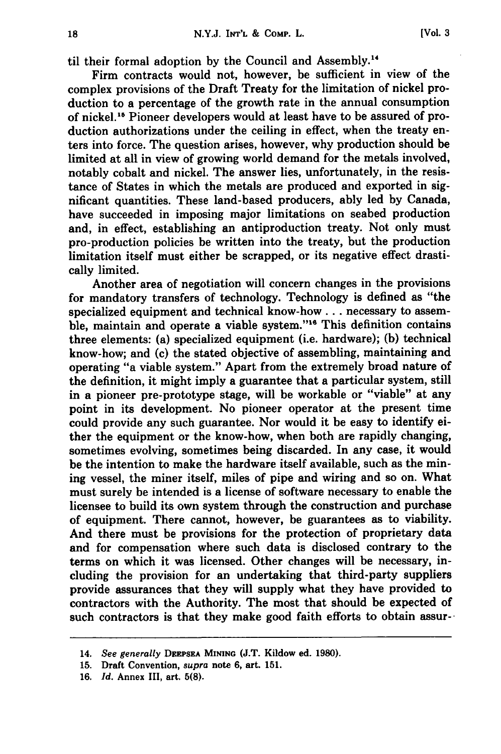til their formal adoption **by** the Council and Assembly."'

Firm contracts would not, however, be sufficient in view of the complex provisions of the Draft Treaty for the limitation of nickel production to a percentage of the growth rate in the annual consumption of nickel."5 Pioneer developers would at least have to be assured of production authorizations under the ceiling in effect, when the treaty enters into force. The question arises, however, why production should be limited at all in view of growing world demand for the metals involved, notably cobalt and nickel. The answer lies, unfortunately, in the resistance of States in which the metals are produced and exported in significant quantities. These land-based producers, ably led **by** Canada, have succeeded in imposing major limitations on seabed production and, in effect, establishing an antiproduction treaty. Not only must pro-production policies be written into the treaty, but the production limitation itself must either be scrapped, or its negative effect drastically limited.

Another area of negotiation will concern changes in the provisions for mandatory transfers of technology. Technology is defined as "the specialized equipment and technical know-how **...** necessary to assemble, maintain and operate a viable system."<sup>16</sup> This definition contains three elements: (a) specialized equipment (i.e. hardware); **(b)** technical know-how; and (c) the stated objective of assembling, maintaining and operating "a viable system." Apart from the extremely broad nature of the definition, it might imply a guarantee that a particular system, still in a pioneer pre-prototype stage, will be workable or "viable" at any point in its development. No pioneer operator at the present time could provide any such guarantee. Nor would it be easy to identify either the equipment or the know-how, when both are rapidly changing, sometimes evolving, sometimes being discarded. In any case, it would be the intention to make the hardware itself available, such as the mining vessel, the miner itself, miles of pipe and wiring and so on. What must surely be intended is a license of software necessary to enable the licensee to build its own system through the construction and purchase of equipment. There cannot, however, be guarantees as to viability. And there must be provisions for the protection of proprietary data and for compensation where such data is disclosed contrary to the terms on which it was licensed. Other changes will be necessary, including the provision for an undertaking that third-party suppliers provide assurances that they will supply what they have provided to contractors with the Authority. The most that should be expected of such contractors is that they make good faith efforts to obtain assur-

<sup>14.</sup> *See generally* **DEEPSEA MINING (J.T.** Kildow ed. **1980).**

**<sup>15.</sup>** Draft Convention, *supra* note **6,** art. **151.**

**<sup>16.</sup>** *Id.* Annex III, art. **5(8).**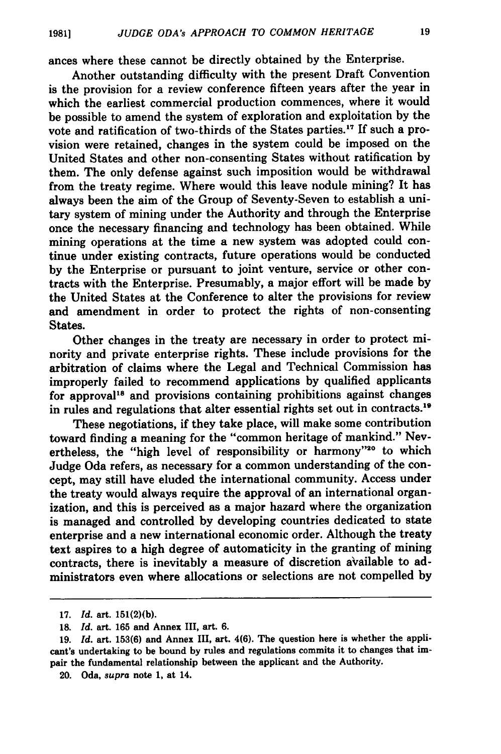ances where these cannot be directly obtained by the Enterprise.

Another outstanding difficulty with the present Draft Convention is the provision for a review conference fifteen years after the year in which the earliest commercial production commences, where it would be possible to amend the system of exploration and exploitation **by** the vote and ratification of two-thirds of the States parties.<sup>17</sup> If such a provision were retained, changes in the system could be imposed on the United States and other non-consenting States without ratification **by** them. The only defense against such imposition would be withdrawal from the treaty regime. Where would this leave nodule mining? It has always been the aim of the Group of Seventy-Seven to establish a unitary system of mining under the Authority and through the Enterprise once the necessary financing and technology has been obtained. While mining operations at the time a new system was adopted could continue under existing contracts, future operations would be conducted **by** the Enterprise or pursuant to joint venture, service or other contracts with the Enterprise. Presumably, a major effort will be made **by** the United States at the Conference to alter the provisions for review and amendment in order to protect the rights of non-consenting States.

Other changes in the treaty are necessary in order to protect minority and private enterprise rights. These include provisions for the arbitration of claims where the Legal and Technical Commission has improperly failed to recommend applications **by** qualified applicants for approval<sup>18</sup> and provisions containing prohibitions against changes in rules and regulations that alter essential rights set out in contracts.<sup>19</sup>

These negotiations, if they take place, will make some contribution toward finding a meaning for the "common heritage of mankind." Nevertheless, the "high level of responsibility or harmony"<sup>20</sup> to which Judge Oda refers, as necessary for a common understanding of the concept, may still have eluded the international community. Access under the treaty would always require the approval of an international organization, and this is perceived as a major hazard where the organization is managed and controlled by developing countries dedicated to state enterprise and a new international economic order. Although the treaty text aspires to a high degree of automaticity in the granting of mining contracts, there is inevitably a measure of discretion available to administrators even where allocations or selections are not compelled by

<sup>17.</sup> Id. art. 151(2)(b).

**<sup>18.</sup>** Id. art. 165 and Annex III, art. 6.

<sup>19.</sup> Id. art. 153(6) and Annex III, art. 4(6). The question here is whether the applicant's undertaking to be bound by rules and regulations commits it to changes that impair the fundamental relationship between the applicant and the Authority.

<sup>20.</sup> Oda, *supra* note 1, at 14.